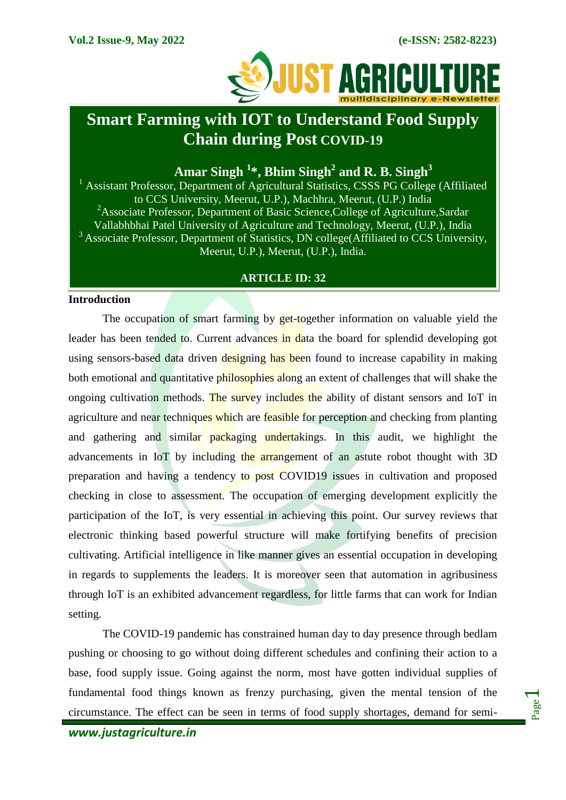

# **Smart Farming with IOT to Understand Food Supply Chain during Post COVID-19**

**Amar Singh <sup>1</sup> \*, Bhim Singh<sup>2</sup> and R. B. Singh<sup>3</sup>**

<sup>1</sup> Assistant Professor, Department of Agricultural Statistics, CSSS PG College (Affiliated to CCS University, Meerut, U.P.), Machhra, Meerut, (U.P.) India <sup>2</sup>Associate Professor, Department of Basic Science, College of Agriculture, Sardar Vallabhbhai Patel University of Agriculture and Technology, Meerut, (U.P.), India  $3$  Associate Professor, Department of Statistics, DN college(Affiliated to CCS University, Meerut, U.P.), Meerut, (U.P.), India.

### **ARTICLE ID: 32**

#### **Introduction**

The occupation of smart farming by get-together information on valuable yield the leader has been tended to. Current advances in data the board for splendid developing got using sensors-based data driven designing has been found to increase capability in making both emotional and quantitative philosophies along an extent of challenges that will shake the ongoing cultivation methods. The survey includes the ability of distant sensors and IoT in agriculture and near techniques which are feasible for perception and checking from planting and gathering and similar packaging undertakings. In this audit, we highlight the advancements in IoT by including the arrangement of an astute robot thought with 3D preparation and having a tendency to post COVID19 issues in cultivation and proposed checking in close to assessment. The occupation of emerging development explicitly the participation of the IoT, is very essential in achieving this point. Our survey reviews that electronic thinking based powerful structure will make fortifying benefits of precision cultivating. Artificial intelligence in like manner gives an essential occupation in developing in regards to supplements the leaders. It is moreover seen that automation in agribusiness through IoT is an exhibited advancement regardless, for little farms that can work for Indian setting.

The COVID-19 pandemic has constrained human day to day presence through bedlam pushing or choosing to go without doing different schedules and confining their action to a base, food supply issue. Going against the norm, most have gotten individual supplies of fundamental food things known as frenzy purchasing, given the mental tension of the circumstance. The effect can be seen in terms of food supply shortages, demand for semi-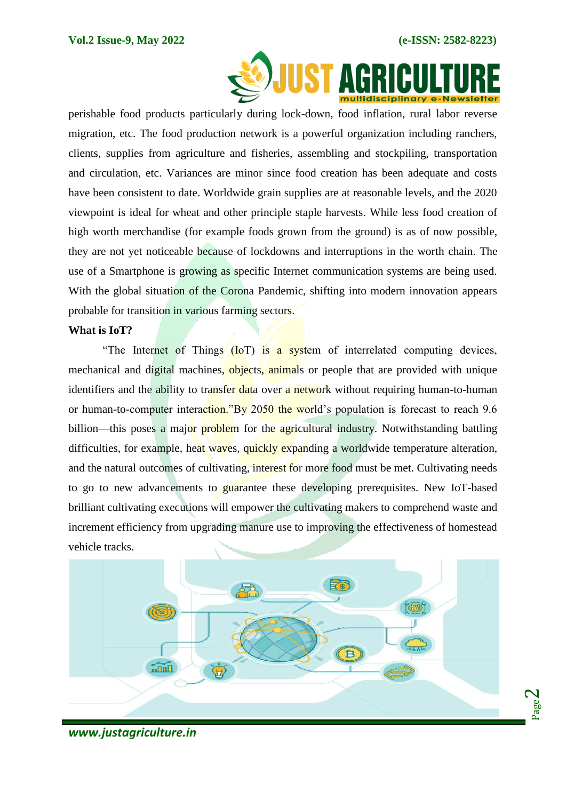Page  $\boldsymbol{\sim}$ 



perishable food products particularly during lock-down, food inflation, rural labor reverse migration, etc. The food production network is a powerful organization including ranchers, clients, supplies from agriculture and fisheries, assembling and stockpiling, transportation and circulation, etc. Variances are minor since food creation has been adequate and costs have been consistent to date. Worldwide grain supplies are at reasonable levels, and the 2020 viewpoint is ideal for wheat and other principle staple harvests. While less food creation of high worth merchandise (for example foods grown from the ground) is as of now possible, they are not yet noticeable because of lockdowns and interruptions in the worth chain. The use of a Smartphone is growing as specific Internet communication systems are being used. With the global situation of the Corona Pandemic, shifting into modern innovation appears probable for transition in various farming sectors.

#### **What is IoT?**

"The Internet of Things (IoT) is a system of interrelated computing devices, mechanical and digital machines, objects, animals or people that are provided with unique identifiers and the ability to transfer data over a network without requiring human-to-human or human-to-computer interaction."By 2050 the world's population is forecast to reach 9.6 billion—this poses a major problem for the agricultural industry. Notwithstanding battling difficulties, for example, heat waves, quickly expanding a worldwide temperature alteration, and the natural outcomes of cultivating, interest for more food must be met. Cultivating needs to go to new advancements to guarantee these developing prerequisites. New IoT-based brilliant cultivating executions will empower the cultivating makers to comprehend waste and increment efficiency from upgrading manure use to improving the effectiveness of homestead vehicle tracks.



## *www.justagriculture.in*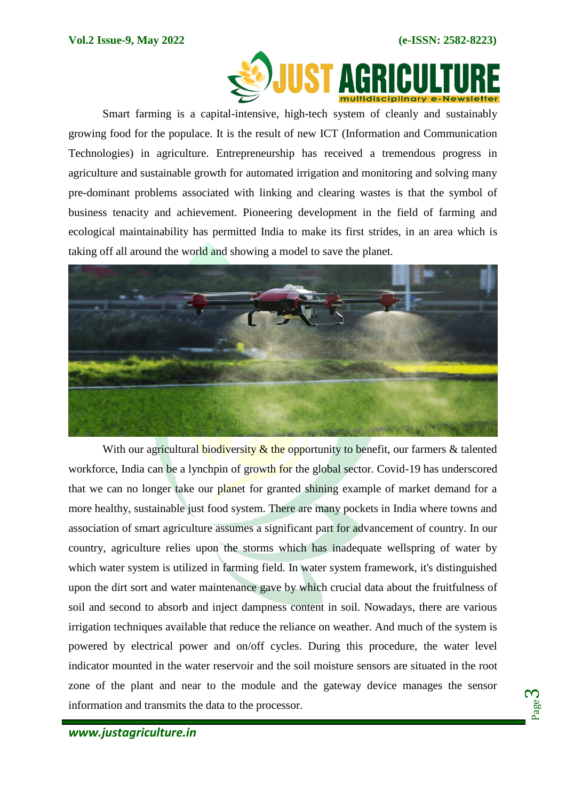

Smart farming is a capital-intensive, high-tech system of cleanly and sustainably growing food for the populace. It is the result of new ICT (Information and Communication Technologies) in agriculture. Entrepreneurship has received a tremendous progress in agriculture and sustainable growth for automated irrigation and monitoring and solving many pre-dominant problems associated with linking and clearing wastes is that the symbol of business tenacity and achievement. Pioneering development in the field of farming and ecological maintainability has permitted India to make its first strides, in an area which is taking off all around the world and showing a model to save the planet.



With our agricultural biodiversity  $\&$  the opportunity to benefit, our farmers  $\&$  talented workforce, India can be a lynchpin of growth for the global sector. Covid-19 has underscored that we can no longer take our planet for granted shining example of market demand for a more healthy, sustainable just food system. There are many pockets in India where towns and association of smart agriculture assumes a significant part for advancement of country. In our country, agriculture relies upon the storms which has inadequate wellspring of water by which water system is utilized in farming field. In water system framework, it's distinguished upon the dirt sort and water maintenance gave by which crucial data about the fruitfulness of soil and second to absorb and inject dampness content in soil. Nowadays, there are various irrigation techniques available that reduce the reliance on weather. And much of the system is powered by electrical power and on/off cycles. During this procedure, the water level indicator mounted in the water reservoir and the soil moisture sensors are situated in the root zone of the plant and near to the module and the gateway device manages the sensor information and transmits the data to the processor.